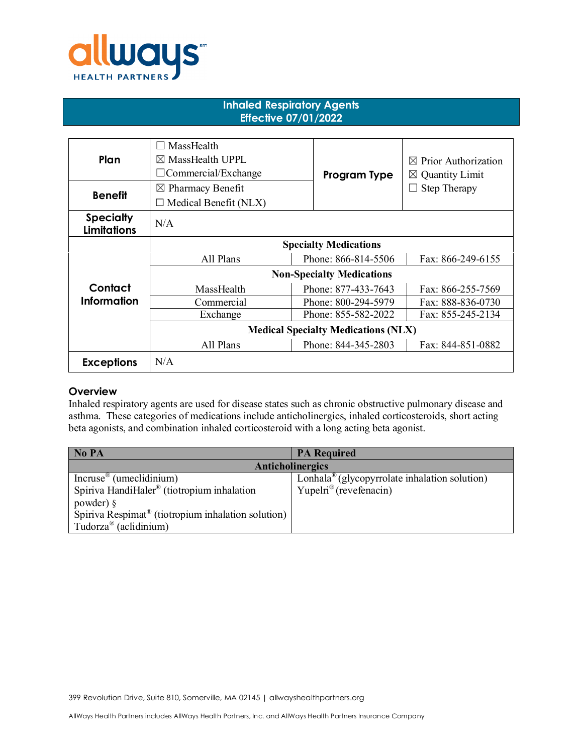

## **Inhaled Respiratory Agents Effective 07/01/2022**

| Plan                                   | MassHealth<br>- 1<br>$\boxtimes$ MassHealth UPPL<br>$\Box$ Commercial/Exchange | Program Type        | $\boxtimes$ Prior Authorization<br>$\boxtimes$ Quantity Limit |
|----------------------------------------|--------------------------------------------------------------------------------|---------------------|---------------------------------------------------------------|
| <b>Benefit</b>                         | $\boxtimes$ Pharmacy Benefit<br>$\Box$ Medical Benefit (NLX)                   |                     | Step Therapy                                                  |
| <b>Specialty</b><br><b>Limitations</b> | N/A                                                                            |                     |                                                               |
|                                        | <b>Specialty Medications</b>                                                   |                     |                                                               |
|                                        | All Plans                                                                      | Phone: 866-814-5506 | Fax: 866-249-6155                                             |
|                                        | <b>Non-Specialty Medications</b>                                               |                     |                                                               |
| Contact                                | MassHealth                                                                     | Phone: 877-433-7643 | Fax: 866-255-7569                                             |
| Information                            | Commercial                                                                     | Phone: 800-294-5979 | Fax: 888-836-0730                                             |
|                                        | Exchange                                                                       | Phone: 855-582-2022 | Fax: 855-245-2134                                             |
|                                        | <b>Medical Specialty Medications (NLX)</b>                                     |                     |                                                               |
|                                        | All Plans                                                                      | Phone: 844-345-2803 | Fax: 844-851-0882                                             |
| <b>Exceptions</b>                      | N/A                                                                            |                     |                                                               |

## **Overview**

Inhaled respiratory agents are used for disease states such as chronic obstructive pulmonary disease and asthma. These categories of medications include anticholinergics, inhaled corticosteroids, short acting beta agonists, and combination inhaled corticosteroid with a long acting beta agonist.

| No PA                                                          | <b>PA Required</b>                                        |  |  |  |
|----------------------------------------------------------------|-----------------------------------------------------------|--|--|--|
| Anticholinergics                                               |                                                           |  |  |  |
| Incruse <sup>®</sup> (umeclidinium)                            | Lonhala <sup>®</sup> (glycopyrrolate inhalation solution) |  |  |  |
| Spiriva HandiHaler® (tiotropium inhalation                     | Yupelri <sup>®</sup> (revefenacin)                        |  |  |  |
| powder) $\S$                                                   |                                                           |  |  |  |
| Spiriva Respimat <sup>®</sup> (tiotropium inhalation solution) |                                                           |  |  |  |
| Tudorza <sup>®</sup> (aclidinium)                              |                                                           |  |  |  |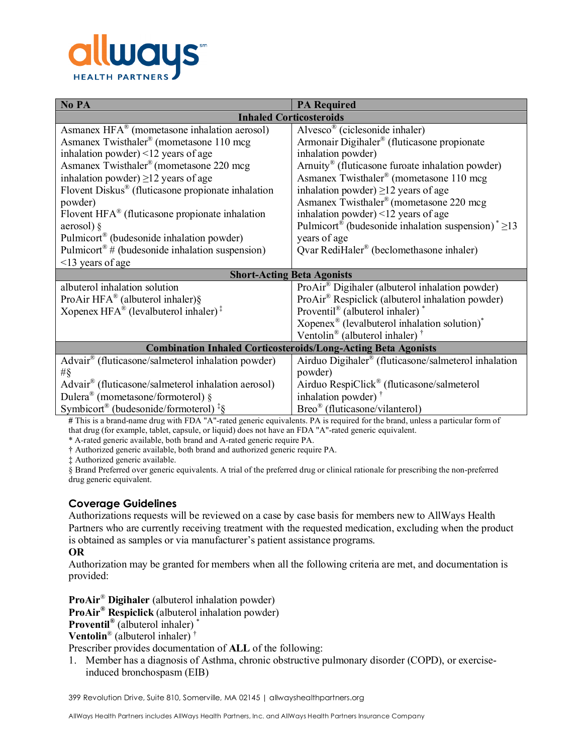

| No PA                                                                | <b>PA Required</b>                                                               |  |  |  |
|----------------------------------------------------------------------|----------------------------------------------------------------------------------|--|--|--|
| <b>Inhaled Corticosteroids</b>                                       |                                                                                  |  |  |  |
| Asmanex $HFA^{\circledast}$ (mometasone inhalation aerosol)          | Alvesco <sup>®</sup> (ciclesonide inhaler)                                       |  |  |  |
| Asmanex Twisthaler <sup>®</sup> (mometasone 110 mcg)                 | Armonair Digihaler® (fluticasone propionate                                      |  |  |  |
| inhalation powder) $\leq$ 12 years of age                            | inhalation powder)                                                               |  |  |  |
| Asmanex Twisthaler® (mometasone 220 mcg                              | Arnuity® (fluticasone furoate inhalation powder)                                 |  |  |  |
| inhalation powder) $\geq$ 12 years of age                            | Asmanex Twisthaler® (mometasone 110 mcg                                          |  |  |  |
| Flovent Diskus <sup>®</sup> (fluticasone propionate inhalation       | inhalation powder) $\geq$ 12 years of age                                        |  |  |  |
| powder)                                                              | Asmanex Twisthaler® (mometasone 220 mcg                                          |  |  |  |
| Flovent $HFA^{\circledast}$ (fluticasone propionate inhalation       | inhalation powder) $\leq$ 12 years of age                                        |  |  |  |
| aerosol) §                                                           | Pulmicort <sup>®</sup> (budesonide inhalation suspension) <sup>*</sup> $\geq$ 13 |  |  |  |
| Pulmicort <sup>®</sup> (budesonide inhalation powder)                | years of age                                                                     |  |  |  |
| Pulmicort <sup>®</sup> # (budesonide inhalation suspension)          | Qvar RediHaler® (beclomethasone inhaler)                                         |  |  |  |
| <13 years of age                                                     |                                                                                  |  |  |  |
| <b>Short-Acting Beta Agonists</b>                                    |                                                                                  |  |  |  |
| albuterol inhalation solution                                        | ProAir <sup>®</sup> Digihaler (albuterol inhalation powder)                      |  |  |  |
| ProAir HFA® (albuterol inhaler)§                                     | ProAir® Respiclick (albuterol inhalation powder)                                 |  |  |  |
| Xopenex HFA <sup>®</sup> (levalbuterol inhaler) <sup>‡</sup>         | Proventil® (albuterol inhaler) <sup>*</sup>                                      |  |  |  |
|                                                                      | Xopenex <sup>®</sup> (levalbuterol inhalation solution) <sup>*</sup>             |  |  |  |
|                                                                      | Ventolin <sup>®</sup> (albuterol inhaler) <sup>†</sup>                           |  |  |  |
| <b>Combination Inhaled Corticosteroids/Long-Acting Beta Agonists</b> |                                                                                  |  |  |  |
| Advair <sup>®</sup> (fluticasone/salmeterol inhalation powder)       | Airduo Digihaler <sup>®</sup> (fluticasone/salmeterol inhalation                 |  |  |  |
| $\#\S$                                                               | powder)                                                                          |  |  |  |
| Advair® (fluticasone/salmeterol inhalation aerosol)                  | Airduo RespiClick <sup>®</sup> (fluticasone/salmeterol                           |  |  |  |
| Dulera <sup>®</sup> (mometasone/formoterol) $\S$                     | inhalation powder) <sup>†</sup>                                                  |  |  |  |
| Symbicort <sup>®</sup> (budesonide/formoterol) <sup>‡§</sup>         | Breo® (fluticasone/vilanterol)                                                   |  |  |  |

**#** This is a brand-name drug with FDA "A"-rated generic equivalents. PA is required for the brand, unless a particular form of that drug (for example, tablet, capsule, or liquid) does not have an FDA "A"-rated generic equivalent.

\* A-rated generic available, both brand and A-rated generic require PA.

† Authorized generic available, both brand and authorized generic require PA.

‡ Authorized generic available.

§ Brand Preferred over generic equivalents. A trial of the preferred drug or clinical rationale for prescribing the non-preferred drug generic equivalent.

## **Coverage Guidelines**

Authorizations requests will be reviewed on a case by case basis for members new to AllWays Health Partners who are currently receiving treatment with the requested medication, excluding when the product is obtained as samples or via manufacturer's patient assistance programs.

#### **OR**

Authorization may be granted for members when all the following criteria are met, and documentation is provided:

**ProAir**® **Digihaler** (albuterol inhalation powder)

**ProAir® Respiclick** (albuterol inhalation powder)

**Proventil®** (albuterol inhaler) \*

**Ventolin**® (albuterol inhaler) †

Prescriber provides documentation of **ALL** of the following:

1. Member has a diagnosis of Asthma, chronic obstructive pulmonary disorder (COPD), or exerciseinduced bronchospasm (EIB)

399 Revolution Drive, Suite 810, Somerville, MA 02145 | allwayshealthpartners.org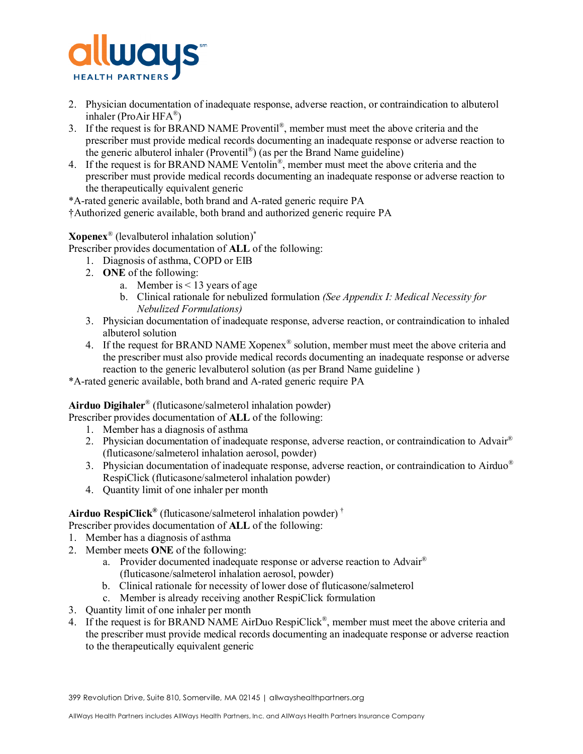

- 2. Physician documentation of inadequate response, adverse reaction, or contraindication to albuterol inhaler (ProAir HFA®)
- 3. If the request is for BRAND NAME Proventil®, member must meet the above criteria and the prescriber must provide medical records documenting an inadequate response or adverse reaction to the generic albuterol inhaler (Proventil<sup>®</sup>) (as per the Brand Name guideline)
- 4. If the request is for BRAND NAME Ventolin®, member must meet the above criteria and the prescriber must provide medical records documenting an inadequate response or adverse reaction to the therapeutically equivalent generic

\*A-rated generic available, both brand and A-rated generic require PA

†Authorized generic available, both brand and authorized generic require PA

**Xopenex**® (levalbuterol inhalation solution)\*

Prescriber provides documentation of **ALL** of the following:

- 1. Diagnosis of asthma, COPD or EIB
- 2. **ONE** of the following:
	- a. Member is < 13 years of age
	- b. Clinical rationale for nebulized formulation *(See Appendix I: Medical Necessity for Nebulized Formulations)*
- 3. Physician documentation of inadequate response, adverse reaction, or contraindication to inhaled albuterol solution
- 4. If the request for BRAND NAME Xopenex<sup>®</sup> solution, member must meet the above criteria and the prescriber must also provide medical records documenting an inadequate response or adverse reaction to the generic levalbuterol solution (as per Brand Name guideline )

\*A-rated generic available, both brand and A-rated generic require PA

# **Airduo Digihaler**® (fluticasone/salmeterol inhalation powder)

Prescriber provides documentation of **ALL** of the following:

- 1. Member has a diagnosis of asthma
- 2. Physician documentation of inadequate response, adverse reaction, or contraindication to Advair<sup>®</sup> (fluticasone/salmeterol inhalation aerosol, powder)
- 3. Physician documentation of inadequate response, adverse reaction, or contraindication to Airduo<sup>®</sup> RespiClick (fluticasone/salmeterol inhalation powder)
- 4. Quantity limit of one inhaler per month

#### **Airduo RespiClick®** (fluticasone/salmeterol inhalation powder) †

Prescriber provides documentation of **ALL** of the following:

- 1. Member has a diagnosis of asthma
- 2. Member meets **ONE** of the following:
	- a. Provider documented inadequate response or adverse reaction to Advair® (fluticasone/salmeterol inhalation aerosol, powder)
	- b. Clinical rationale for necessity of lower dose of fluticasone/salmeterol
	- c. Member is already receiving another RespiClick formulation
- 3. Quantity limit of one inhaler per month
- 4. If the request is for BRAND NAME AirDuo RespiClick<sup>®</sup>, member must meet the above criteria and the prescriber must provide medical records documenting an inadequate response or adverse reaction to the therapeutically equivalent generic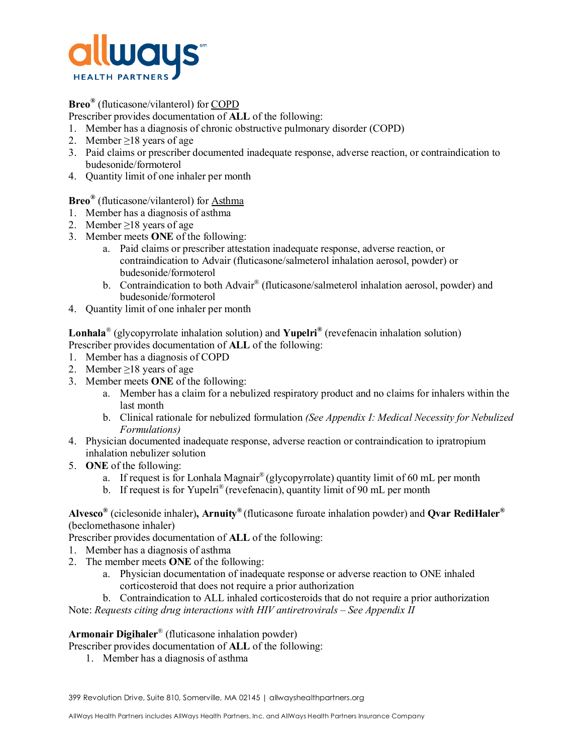

## **Breo®** (fluticasone/vilanterol) for COPD

Prescriber provides documentation of **ALL** of the following:

- 1. Member has a diagnosis of chronic obstructive pulmonary disorder (COPD)
- 2. Member ≥18 years of age
- 3. Paid claims or prescriber documented inadequate response, adverse reaction, or contraindication to budesonide/formoterol
- 4. Quantity limit of one inhaler per month

**Breo®** (fluticasone/vilanterol) for Asthma

- 1. Member has a diagnosis of asthma
- 2. Member ≥18 years of age
- 3. Member meets **ONE** of the following:
	- a. Paid claims or prescriber attestation inadequate response, adverse reaction, or contraindication to Advair (fluticasone/salmeterol inhalation aerosol, powder) or budesonide/formoterol
	- b. Contraindication to both Advair® (fluticasone/salmeterol inhalation aerosol, powder) and budesonide/formoterol
- 4. Quantity limit of one inhaler per month

**Lonhala**® (glycopyrrolate inhalation solution) and **Yupelri®** (revefenacin inhalation solution) Prescriber provides documentation of **ALL** of the following:

- 1. Member has a diagnosis of COPD
- 2. Member  $\geq$ 18 years of age
- 3. Member meets **ONE** of the following:
	- a. Member has a claim for a nebulized respiratory product and no claims for inhalers within the last month
	- b. Clinical rationale for nebulized formulation *(See Appendix I: Medical Necessity for Nebulized Formulations)*
- 4. Physician documented inadequate response, adverse reaction or contraindication to ipratropium inhalation nebulizer solution
- 5. **ONE** of the following:
	- a. If request is for Lonhala Magnair® (glycopyrrolate) quantity limit of 60 mL per month
	- b. If request is for Yupelri<sup>®</sup> (revefenacin), quantity limit of 90 mL per month

**Alvesco®** (ciclesonide inhaler)**, Arnuity®** (fluticasone furoate inhalation powder) and **Qvar RediHaler®** (beclomethasone inhaler)

Prescriber provides documentation of **ALL** of the following:

- 1. Member has a diagnosis of asthma
- 2. The member meets **ONE** of the following:
	- a. Physician documentation of inadequate response or adverse reaction to ONE inhaled corticosteroid that does not require a prior authorization
- b. Contraindication to ALL inhaled corticosteroids that do not require a prior authorization Note: *Requests citing drug interactions with HIV antiretrovirals – See Appendix II*

**Armonair Digihaler**® (fluticasone inhalation powder)

Prescriber provides documentation of **ALL** of the following:

1. Member has a diagnosis of asthma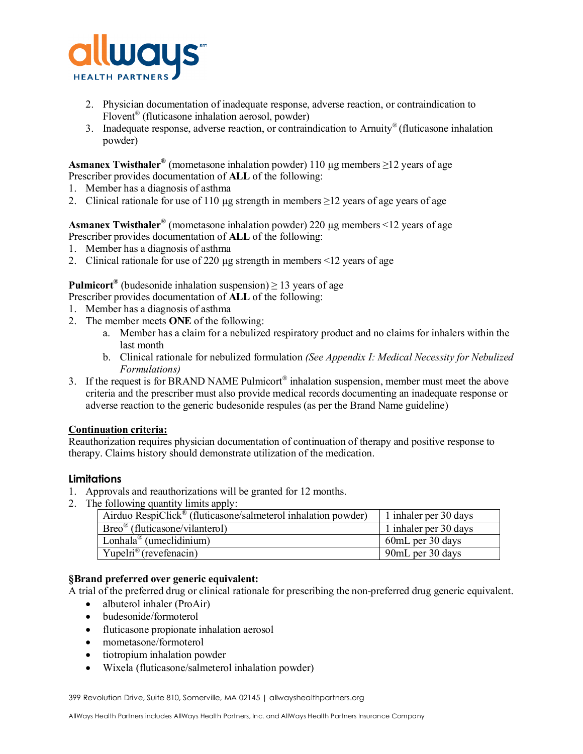

- 2. Physician documentation of inadequate response, adverse reaction, or contraindication to Flovent® (fluticasone inhalation aerosol, powder)
- 3. Inadequate response, adverse reaction, or contraindication to Arnuity® (fluticasone inhalation powder)

**Asmanex Twisthaler<sup>®</sup>** (mometasone inhalation powder) 110  $\mu$ g members  $\geq$ 12 years of age Prescriber provides documentation of **ALL** of the following:

- 1. Member has a diagnosis of asthma
- 2. Clinical rationale for use of 110 µg strength in members  $\geq$  12 years of age years of age

**Asmanex Twisthaler®** (mometasone inhalation powder) 220 µg members <12 years of age Prescriber provides documentation of **ALL** of the following:

- 1. Member has a diagnosis of asthma
- 2. Clinical rationale for use of 220 µg strength in members <12 years of age

**Pulmicort<sup>®</sup>** (budesonide inhalation suspension)  $\geq$  13 years of age

- Prescriber provides documentation of **ALL** of the following:
- 1. Member has a diagnosis of asthma
- 2. The member meets **ONE** of the following:
	- a. Member has a claim for a nebulized respiratory product and no claims for inhalers within the last month
	- b. Clinical rationale for nebulized formulation *(See Appendix I: Medical Necessity for Nebulized Formulations)*
- 3. If the request is for BRAND NAME Pulmicort<sup>®</sup> inhalation suspension, member must meet the above criteria and the prescriber must also provide medical records documenting an inadequate response or adverse reaction to the generic budesonide respules (as per the Brand Name guideline)

## **Continuation criteria:**

Reauthorization requires physician documentation of continuation of therapy and positive response to therapy. Claims history should demonstrate utilization of the medication.

## **Limitations**

- 1. Approvals and reauthorizations will be granted for 12 months.
- 2. The following quantity limits apply:

| Airduo RespiClick <sup>®</sup> (fluticasone/salmeterol inhalation powder) | 1 inhaler per 30 days |
|---------------------------------------------------------------------------|-----------------------|
| $Breo^{\&}$ (fluticasone/vilanterol)                                      | 1 inhaler per 30 days |
| $\overline{\text{Lonhala}^{\text{\textcirc}}}$ (umeclidinium)             | 60mL per 30 days      |
| Yupelri <sup>®</sup> (revefenacin)                                        | 90mL per 30 days      |

### **§Brand preferred over generic equivalent:**

A trial of the preferred drug or clinical rationale for prescribing the non-preferred drug generic equivalent.

- albuterol inhaler (ProAir)
- budesonide/formoterol
- fluticasone propionate inhalation aerosol
- mometasone/formoterol
- tiotropium inhalation powder
- Wixela (fluticasone/salmeterol inhalation powder)

399 Revolution Drive, Suite 810, Somerville, MA 02145 | allwayshealthpartners.org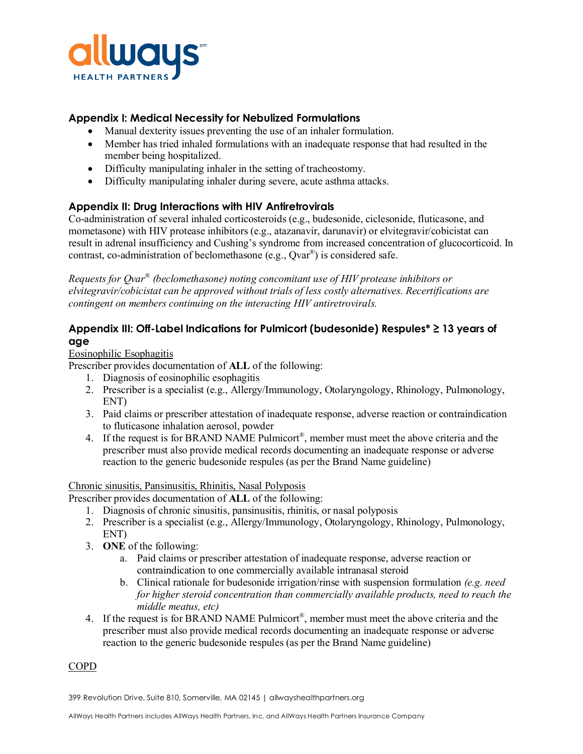

# **Appendix I: Medical Necessity for Nebulized Formulations**

- Manual dexterity issues preventing the use of an inhaler formulation.
- Member has tried inhaled formulations with an inadequate response that had resulted in the member being hospitalized.
- Difficulty manipulating inhaler in the setting of tracheostomy.
- Difficulty manipulating inhaler during severe, acute asthma attacks.

# **Appendix II: Drug Interactions with HIV Antiretrovirals**

Co-administration of several inhaled corticosteroids (e.g., budesonide, ciclesonide, fluticasone, and mometasone) with HIV protease inhibitors (e.g., atazanavir, darunavir) or elvitegravir/cobicistat can result in adrenal insufficiency and Cushing's syndrome from increased concentration of glucocorticoid. In contrast, co-administration of beclomethasone (e.g.,  $Qvar^{\mathbb{R}}$ ) is considered safe.

*Requests for Qvar® (beclomethasone) noting concomitant use of HIV protease inhibitors or elvitegravir/cobicistat can be approved without trials of less costly alternatives. Recertifications are contingent on members continuing on the interacting HIV antiretrovirals.*

# **Appendix III: Off-Label Indications for Pulmicort (budesonide) Respules\* ≥ 13 years of age**

#### Eosinophilic Esophagitis

Prescriber provides documentation of **ALL** of the following:

- 1. Diagnosis of eosinophilic esophagitis
- 2. Prescriber is a specialist (e.g., Allergy/Immunology, Otolaryngology, Rhinology, Pulmonology, ENT)
- 3. Paid claims or prescriber attestation of inadequate response, adverse reaction or contraindication to fluticasone inhalation aerosol, powder
- 4. If the request is for BRAND NAME Pulmicort<sup>®</sup>, member must meet the above criteria and the prescriber must also provide medical records documenting an inadequate response or adverse reaction to the generic budesonide respules (as per the Brand Name guideline)

#### Chronic sinusitis, Pansinusitis, Rhinitis, Nasal Polyposis

Prescriber provides documentation of **ALL** of the following:

- 1. Diagnosis of chronic sinusitis, pansinusitis, rhinitis, or nasal polyposis
- 2. Prescriber is a specialist (e.g., Allergy/Immunology, Otolaryngology, Rhinology, Pulmonology, ENT)
- 3. **ONE** of the following:
	- a. Paid claims or prescriber attestation of inadequate response, adverse reaction or contraindication to one commercially available intranasal steroid
	- b. Clinical rationale for budesonide irrigation/rinse with suspension formulation *(e.g. need for higher steroid concentration than commercially available products, need to reach the middle meatus, etc)*
- 4. If the request is for BRAND NAME Pulmicort<sup>®</sup>, member must meet the above criteria and the prescriber must also provide medical records documenting an inadequate response or adverse reaction to the generic budesonide respules (as per the Brand Name guideline)

#### COPD

399 Revolution Drive, Suite 810, Somerville, MA 02145 | allwayshealthpartners.org